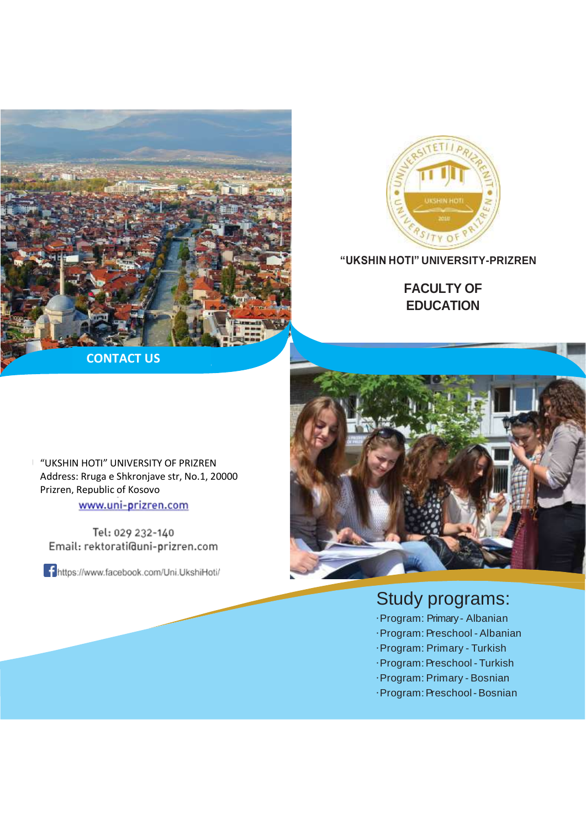



## **"UKSHIN HOTI" UNIVERSITY-PRIZREN**

**FACULTY OF EDUCATION**

**CONTACT US**

"UKSHIN HOTI" UNIVERSITY OF PRIZREN Address: Rruga e Shkronjave str, No.1, 20000 Prizren, Republic of Kosovo

www.uni-prizren.com

Tel: 029 232-140 Email: rektorati@uni-prizren.com

https://www.facebook.com/Uni.UkshiHoti/



## Study programs:

- ·Program: Primary- Albanian
- ·Program:Preschool Albanian
- ·Program: Primary Turkish
- ·Program:Preschool Turkish
- ·Program: Primary Bosnian
- ·Program: Preschool Bosnian